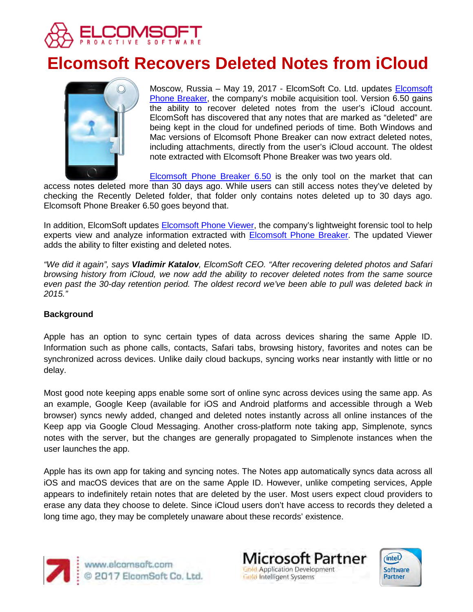

# **Elcomsoft Recovers Deleted Notes from iCloud**



Moscow, Russia - May 19, 2017 - ElcomSoft Co. Ltd. updates **Elcomsoft** [Phone Breaker,](https://www.elcomsoft.com/eppb.html) the company's mobile acquisition tool. Version 6.50 gains the ability to recover deleted notes from the user's iCloud account. ElcomSoft has discovered that any notes that are marked as "deleted" are being kept in the cloud for undefined periods of time. Both Windows and Mac versions of Elcomsoft Phone Breaker can now extract deleted notes, including attachments, directly from the user's iCloud account. The oldest note extracted with Elcomsoft Phone Breaker was two years old.

[Elcomsoft Phone Breaker 6.50](https://www.elcomsoft.com/eppb.html) is the only tool on the market that can access notes deleted more than 30 days ago. While users can still access notes they've deleted by checking the Recently Deleted folder, that folder only contains notes deleted up to 30 days ago. Elcomsoft Phone Breaker 6.50 goes beyond that.

In addition, ElcomSoft updates **Elcomsoft Phone Viewer**, the company's lightweight forensic tool to help experts view and analyze information extracted with [Elcomsoft Phone Breaker.](https://www.elcomsoft.com/eppb.html) The updated Viewer adds the ability to filter existing and deleted notes.

*"We did it again", says Vladimir Katalov, ElcomSoft CEO. "After recovering deleted photos and Safari browsing history from iCloud, we now add the ability to recover deleted notes from the same source even past the 30-day retention period. The oldest record we've been able to pull was deleted back in 2015."*

# **Background**

Apple has an option to sync certain types of data across devices sharing the same Apple ID. Information such as phone calls, contacts, Safari tabs, browsing history, favorites and notes can be synchronized across devices. Unlike daily cloud backups, syncing works near instantly with little or no delay.

Most good note keeping apps enable some sort of online sync across devices using the same app. As an example, Google Keep (available for iOS and Android platforms and accessible through a Web browser) syncs newly added, changed and deleted notes instantly across all online instances of the Keep app via Google Cloud Messaging. Another cross-platform note taking app, Simplenote, syncs notes with the server, but the changes are generally propagated to Simplenote instances when the user launches the app.

Apple has its own app for taking and syncing notes. The Notes app automatically syncs data across all iOS and macOS devices that are on the same Apple ID. However, unlike competing services, Apple appears to indefinitely retain notes that are deleted by the user. Most users expect cloud providers to erase any data they choose to delete. Since iCloud users don't have access to records they deleted a long time ago, they may be completely unaware about these records' existence.



www.elcomsoft.com<br>© 2017 ElcomSoft Co. Ltd.